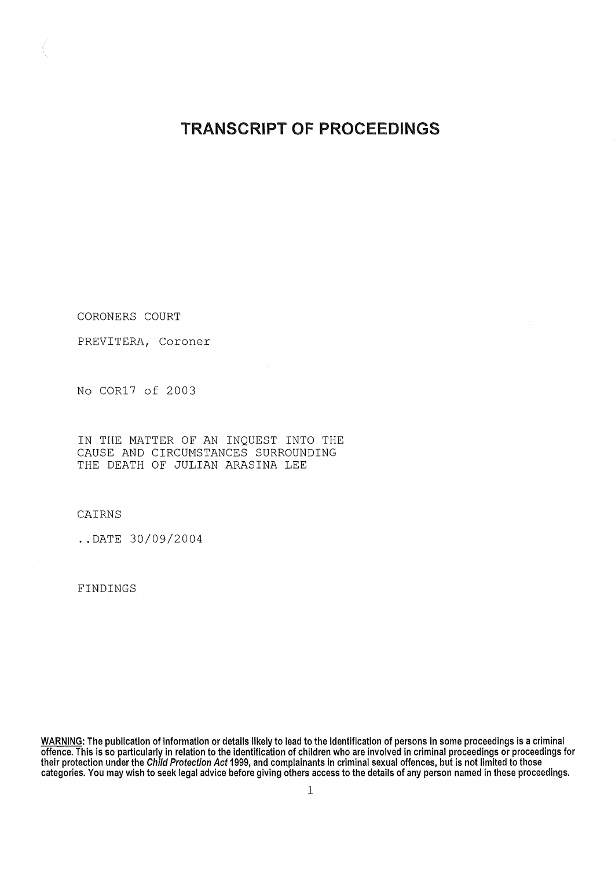## **TRANSCRIPT OF PROCEEDINGS**

CORONERS COURT

PREVITERA, Coroner

No COR17 of 2003

IN THE MATTER OF AN INQUEST INTO THE CAUSE AND CIRCUMSTANCES SURROUNDING THE DEATH OF JULIAN ARASINA LEE

CAIRNS

..DATE 30/09/2004

FINDINGS

**WARNING** : **The publication of information or details likely to lead to the identification of persons in some proceedings is a criminal offence**. **This is so particularly in relation to the identification of children who are involved in criminal proceedings or proceedings for their protection under the Child Protection Act 1999, and complainants in criminal sexual offences** , **but is not limited to those categories**. **You may wish to seek legal advice before giving others access to the details of any person named in these proceedings.**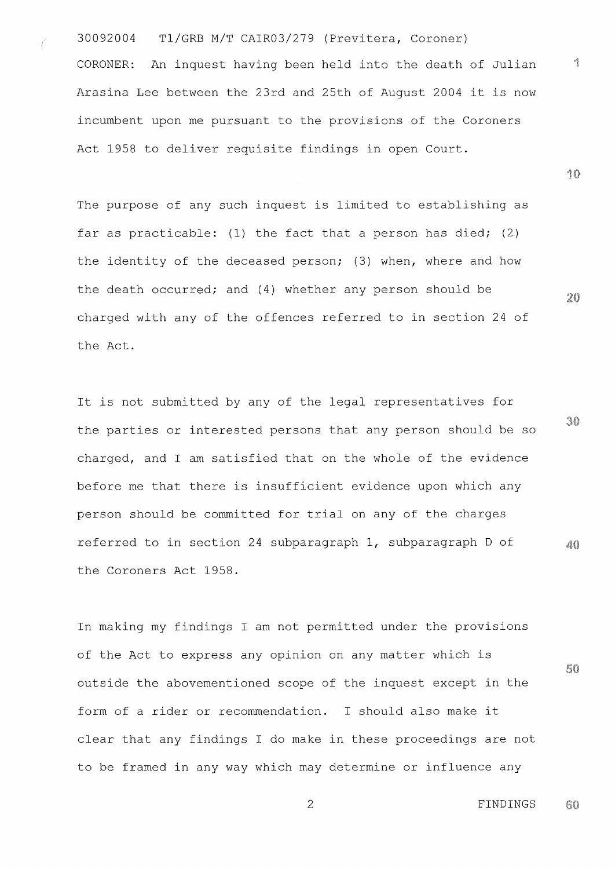30092004 Tl/GRB M/T CAIR03/279 (Previtera, Coroner) CORONER: An inquest having been held into the death of Julian Arasina Lee between the 23rd and 25th of August 2004 it is now incumbent upon me pursuant to the provisions of the Coroners Act 1958 to deliver requisite findings in open Court.

The purpose of any such inquest is limited to establishing as far as practicable: (1) the fact that a person has died; (2) the identity of the deceased person; (3) when, where and how the death occurred; and (4) whether any person should be charged with any of the offences referred to in section 24 of the Act.

It is not submitted by any of the legal representatives for the parties or interested persons that any person should be so charged, and I am satisfied that on the whole of the evidence before me that there is insufficient evidence upon which any person should be committed for trial on any of the charges referred to in section 24 subparagraph 1, subparagraph D of 40 the Coroners Act 1958.

In making my findings I am not permitted under the provisions of the Act to express any opinion on any matter which is outside the abovementioned scope of the inquest except in the form of a rider or recommendation. I should also make it clear that any findings I do make in these proceedings are not to be framed in any way which may determine or influence any

 $20$ 

10

 $\sqrt{2}$ 

30

50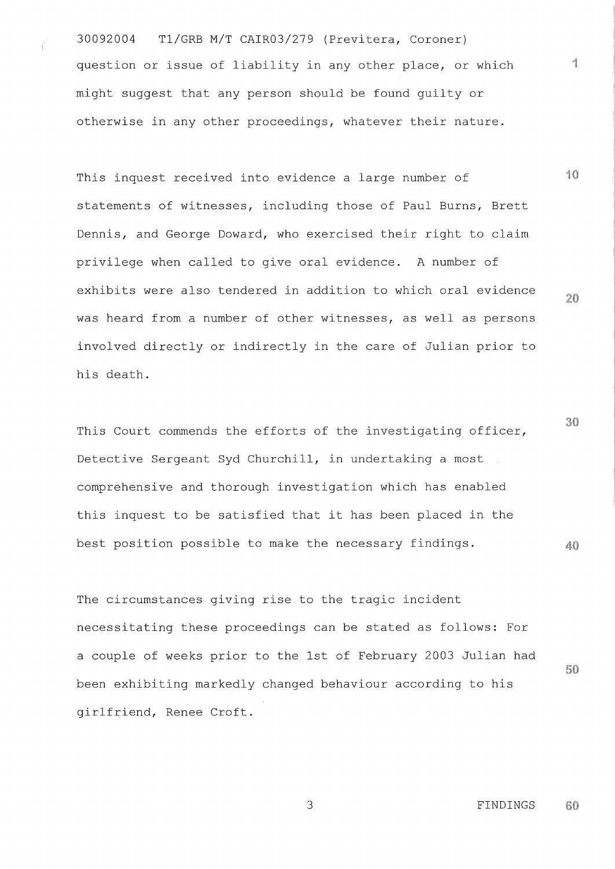30092004 T1/GRB M/T CAIR03/279 (Previtera, Coroner) question or issue of liability in any other place, or which might suggest that any person should be found guilty or otherwise in any other proceedings, whatever their nature.

This inquest received into evidence a large number of statements of witnesses, including those of Paul Burns, Brett Dennis, and George Doward, who exercised their right to claim privilege when called to give oral evidence. A number of exhibits were also tendered in addition to which oral evidence was heard from a number of other witnesses, as well as persons involved directly or indirectly in the care of Julian prior to his death.

30 This Court commends the efforts of the investigating officer, Detective Sergeant Syd Churchill, in undertaking a most comprehensive and thorough investigation which has enabled this inquest to be satisfied that it has been placed in the best position possible to make the necessary findings.  $40$ 

The circumstances giving rise to the tragic incident necessitating these proceedings can be stated as follows: For a couple of weeks prior to the 1st of February 2003 Julian had 60 been exhibiting markedly changed behaviour according to his girlfriend, Renee Croft.

> FINDINGS 60

 $\frac{1}{2}$ 

40

 $20$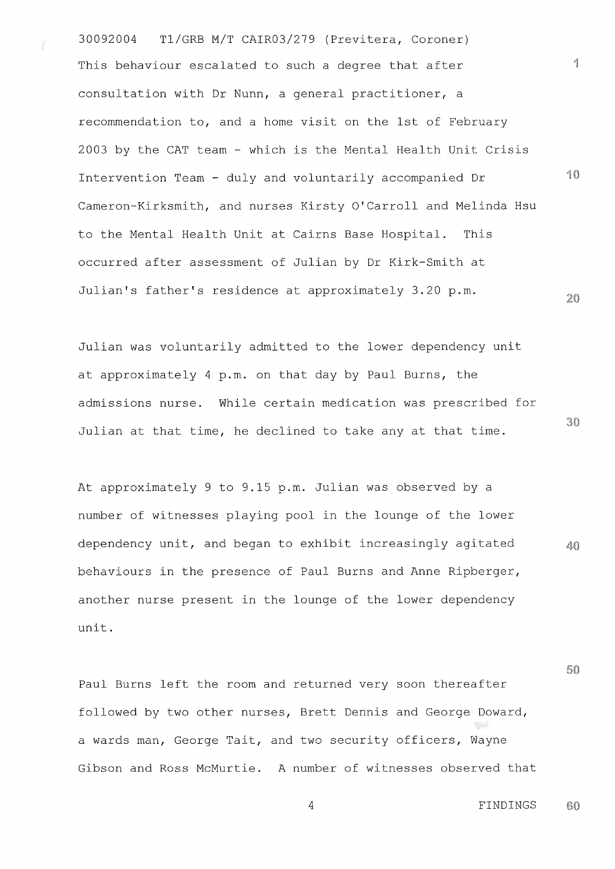30092004 Tl/GRB M/T CAIR03/279 (Previtera, Coroner) This behaviour escalated to such a degree that after consultation with Dr Nunn, a general practitioner, a recommendation to, and a home visit on the 1st of February 2003 by the CAT team - which is the Mental Health Unit Crisis 10 Intervention Team - duly and voluntarily accompanied Dr Cameron-Kirksmith, and nurses Kirsty O'Carroll and Melinda Hsu to the Mental Health Unit at Cairns Base Hospital. This occurred after assessment of Julian by Dr Kirk-Smith at Julian's father's residence at approximately 3.20 p.m.  $20$ 

Julian was voluntarily admitted to the lower dependency unit at approximately 4 p.m. on that day by Paul Burns, the admissions nurse. While certain medication was prescribed for Julian at that time, he declined to take any at that time.

At approximately 9 to 9.15 p.m. Julian was observed by a number of witnesses playing pool in the lounge of the lower dependency unit, and began to exhibit increasingly agitated  $40$ behaviours in the presence of Paul Burns and Anne Ripberger, another nurse present in the lounge of the lower dependency unit.

Paul Burns left the room and returned very soon thereafter followed by two other nurses, Brett Dennis and George Doward, a wards man, George Tait, and two security officers, Wayne Gibson and Ross McMurtie. A number of witnesses observed that

<sup>4</sup> FINDINGS60

 $\mathcal{A}_{\mathbb{R}}$ 

30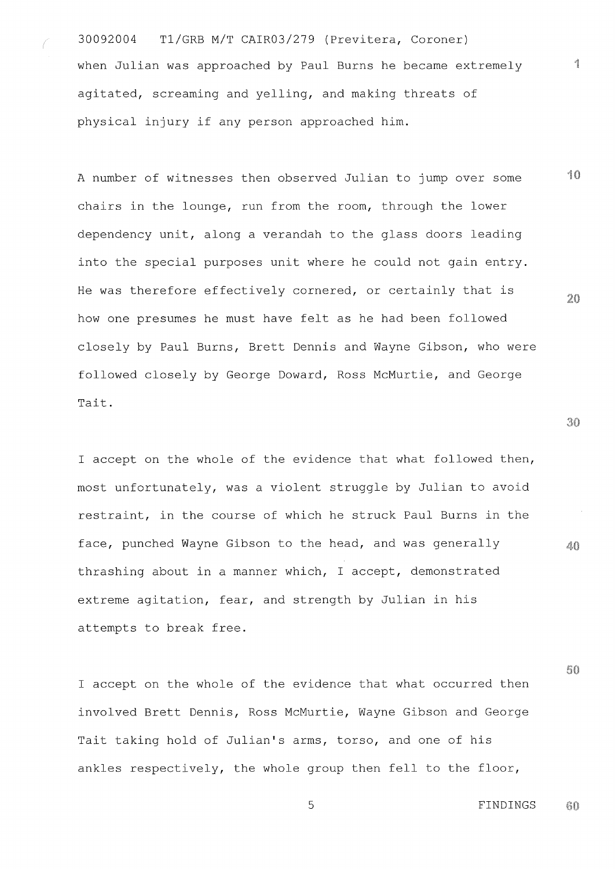30092004 Tl/GRB M/T CAIR03/279 (Previtera, Coroner) when Julian was approached by Paul Burns he became extremely agitated, screaming and yelling, and making threats of physical injury if any person approached him.

<sup>1</sup> **0** A number of witnesses then observed Julian to jump over some chairs in the lounge, run from the room, through the lower dependency unit, along a verandah to the glass doors leading into the special purposes unit where he could not gain entry. He was therefore effectively cornered, or certainly that is  $20$ how one presumes he must have felt as he had been followed closely by Paul Burns, Brett Dennis and Wayne Gibson, who were followed closely by George Doward, Ross McMurtie, and George Tait.

<sup>I</sup> accept on the whole of the evidence that what followed then, most unfortunately, was a violent struggle by Julian to avoid restraint, in the course of which he struck Paul Burns in the face, punched Wayne Gibson to the head, and was generally thrashing about in a manner which, I accept, demonstrated extreme agitation, fear, and strength by Julian in his attempts to break free.

<sup>I</sup> accept on the whole of the evidence that what occurred then involved Brett Dennis, Ross McMurtie, Wayne Gibson and George Tait taking hold of Julian's arms, torso, and one of his ankles respectively, the whole group then fell to the floor,

 $30$ 

 $40$ 

4

so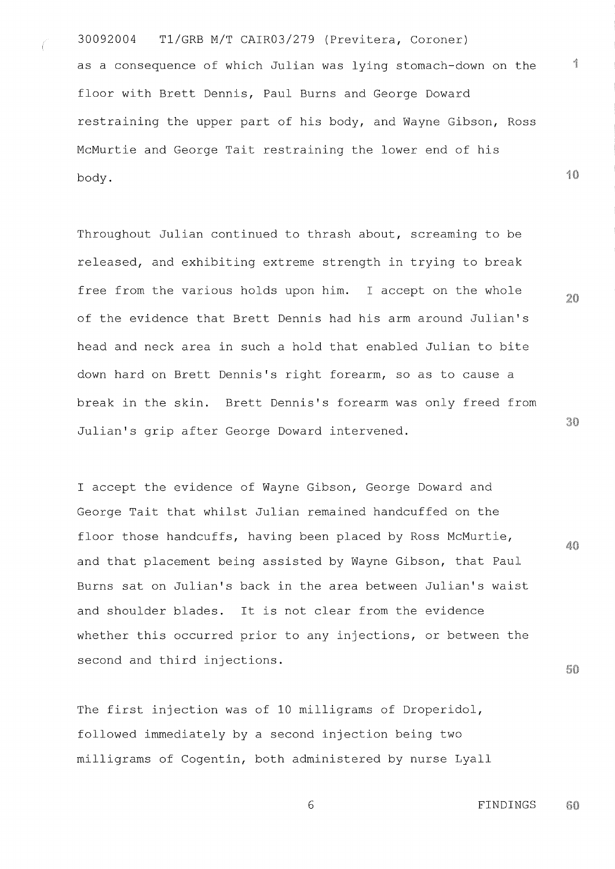30092004 Tl/GRB M/T CAIR03/279 (Previtera, Coroner) as a consequence of which Julian was lying stomach-down on the floor with Brett Dennis, Paul Burns and George Doward restraining the upper part of his body, and Wayne Gibson, Ross McMurtie and George Tait restraining the lower end of his body.

Throughout Julian continued to thrash about, screaming to be released, and exhibiting extreme strength in trying to break free from the various holds upon him. I accept on the whole of the evidence that Brett Dennis had his arm around Julian's head and neck area in such a hold that enabled Julian to bite down hard on Brett Dennis's right forearm, so as to cause a break in the skin. Brett Dennis's forearm was only freed from Julian's grip after George Doward intervened.

<sup>I</sup> accept the evidence of Wayne Gibson, George Doward and George Tait that whilst Julian remained handcuffed on the floor those handcuffs, having been placed by Ross McMurtie, and that placement being assisted by Wayne Gibson, that Paul Burns sat on Julian's back in the area between Julian's waist and shoulder blades. It is not clear from the evidence whether this occurred prior to any injections, or between the second and third injections.

The first injection was of 10 milligrams of Droperidol, followed immediately by a second injection being two milligrams of Cogentin, both administered by nurse Lyall 30

 $20$ 

**10**

4

 $40$ 

50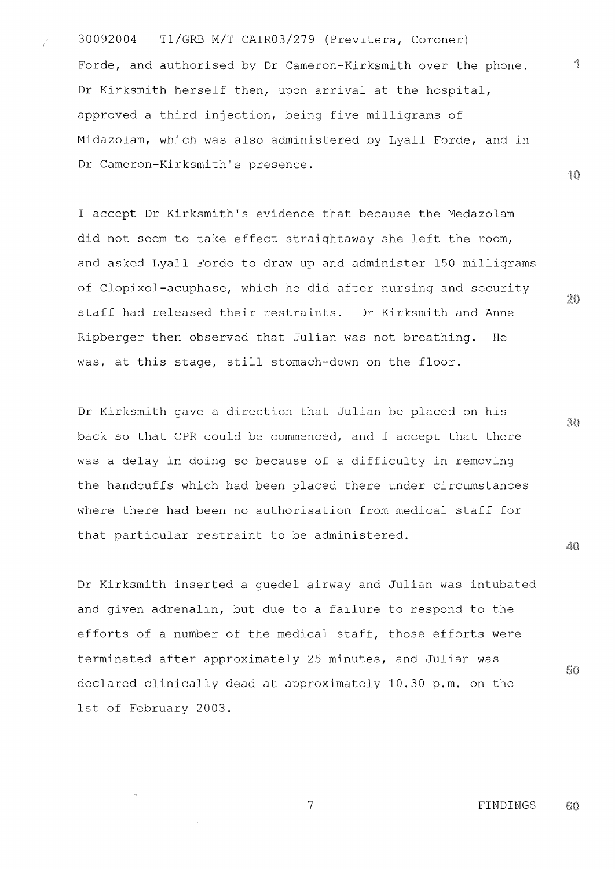30092004 T1/GRB M/T CAIR03/279 (Previtera, Coroner) Forde, and authorised by Dr Cameron-Kirksmith over the phone. Dr Kirksmith herself then, upon arrival at the hospital, approved a third injection, being five milligrams of Midazolam, which was also administered by Lyall Forde, and in Dr Cameron-Kirksmith's presence.

<sup>I</sup> accept Dr Kirksmith's evidence that because the Medazolam did not seem to take effect straightaway she left the room, and asked Lyall Forde to draw up and administer 150 milligrams of Clopixol-acuphase, which he did after nursing and security staff had released their restraints. Dr Kirksmith and Anne Ripberger then observed that Julian was not breathing. He was, at this stage, still stomach-down on the floor.

Dr Kirksmith gave a direction that Julian be placed on his back so that CPR could be commenced, and I accept that there was a delay in doing so because of a difficulty in removing the handcuffs which had been placed there under circumstances where there had been no authorisation from medical staff for that particular restraint to be administered.

Dr Kirksmith inserted a guedel airway and Julian was intubated and given adrenalin, but due to a failure to respond to the efforts of a number of the medical staff, those efforts were terminated after approximately 25 minutes, and Julian was declared clinically dead at approximately 10.30 p.m. on the 1st of February 2003.

> <sup>7</sup> FINDINGS60

 $\frac{\partial \hat{S}}{\partial \hat{S}}$ 

10

 $20$ 

 $30<sup>2</sup>$ 

40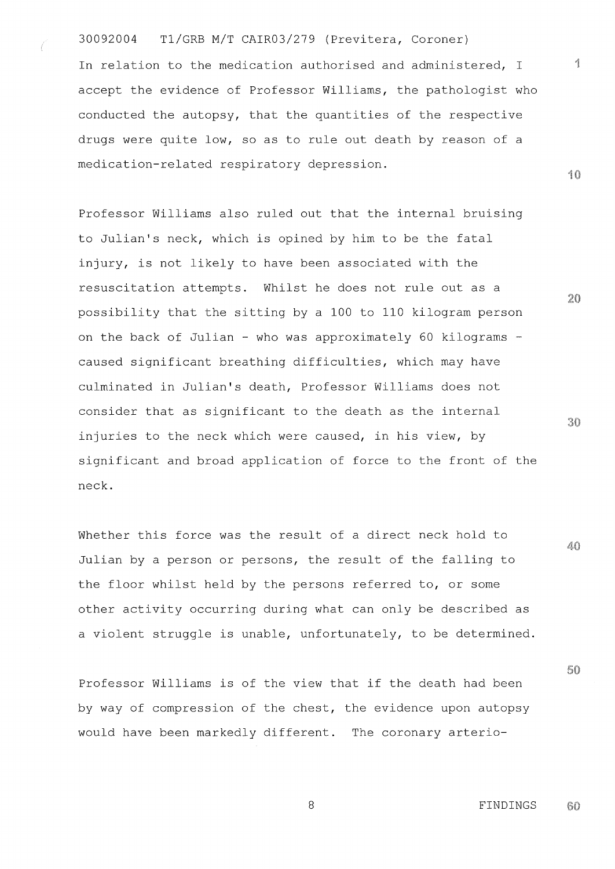30092004 T1/GRB M/T CAIR03/279 (Previtera, Coroner)

In relation to the medication authorised and administered, I accept the evidence of Professor Williams, the pathologist who conducted the autopsy, that the quantities of the respective drugs were quite low, so as to rule out death by reason of a medication-related respiratory depression.

Professor Williams also ruled out that the internal bruising to Julian's neck, which is opined by him to be the fatal injury, is not likely to have been associated with the resuscitation attempts. Whilst he does not rule out as a possibility that the sitting by a 100 to 110 kilogram person on the back of Julian - who was approximately 60 kilograms caused significant breathing difficulties, which may have culminated in Julian's death, Professor Williams does not consider that as significant to the death as the internal injuries to the neck which were caused, in his view, by significant and broad application of force to the front of the neck.

Whether this force was the result of a direct neck hold to Julian by a person or persons, the result of the falling to the floor whilst held by the persons referred to, or some other activity occurring during what can only be described as a violent struggle is unable, unfortunately, to be determined.

Professor Williams is of the view that if the death had been by way of compression of the chest, the evidence upon autopsy would have been markedly different. The coronary arterio-

 $20$ 

 $\mathcal{A}_{\frac{3}{2}}$ 

10

30

40

50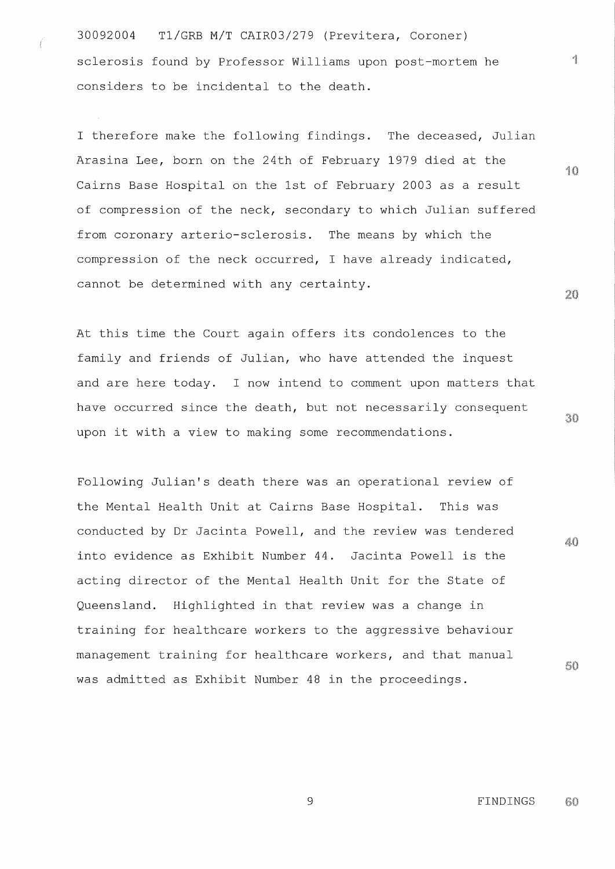30092004 T1/GRB M/T CAIR03/279 (Previtera, Coroner) sclerosis found by Professor Williams upon post-mortem he considers to be incidental to the death.

<sup>I</sup> therefore make the following findings. The deceased, Julian Arasina Lee, born on the 24th of February 1979 died at the Cairns Base Hospital on the 1st of February 2003 as a result of compression of the neck, secondary to which Julian suffered from coronary arterio-sclerosis. The means by which the compression of the neck occurred, I have already indicated, cannot be determined with any certainty.

At this time the Court again offers its condolences to the family and friends of Julian, who have attended the inquest and are here today. I now intend to comment upon matters that have occurred since the death, but not necessarily consequent upon it with a view to making some recommendations.

Following Julian's death there was an operational review of the Mental Health Unit at Cairns Base Hospital. This was conducted by Dr Jacinta Powell, and the review was tendered into evidence as Exhibit Number 44. Jacinta Powell is the acting director of the Mental Health Unit for the State of Queensland. Highlighted in that review was a change in training for healthcare workers to the aggressive behaviour management training for healthcare workers, and that manual was admitted as Exhibit Number 48 in the proceedings.

 $20 \,$ 

<sup>1</sup> 0

e.

 $40$ 

50

30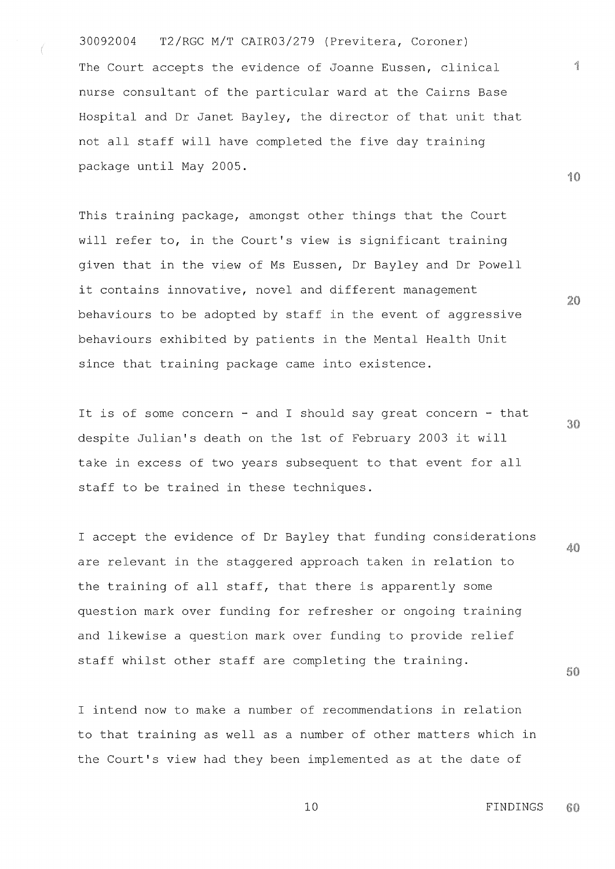30092004 T2/RGC M/T CAIR03/279 (Previtera, Coroner) The Court accepts the evidence of Joanne Eussen, clinical nurse consultant of the particular ward at the Cairns Base Hospital and Dr Janet Bayley, the director of that unit that not all staff will have completed the five day training package until May 2005.

This training package, amongst other things that the Court will refer to, in the Court's view is significant training given that in the view of Ms Eussen, Dr Bayley and Dr Powell it contains innovative, novel and different management behaviours to be adopted by staff in the event of aggressive behaviours exhibited by patients in the Mental Health Unit since that training package came into existence.

It is of some concern - and I should say great concern - that despite Julian's death on the 1st of February 2003 it will take in excess of two years subsequent to that event for all staff to be trained in these techniques.

<sup>I</sup> accept the evidence of Dr Bayley that funding considerations 40 are relevant in the staggered approach taken in relation to the training of all staff, that there is apparently some question mark over funding for refresher or ongoing training and likewise a question mark over funding to provide relief staff whilst other staff are completing the training.

I intend now to make a number of recommendations in relation to that training as well as a number of other matters which in the Court's view had they been implemented as at the date of

10

 $20$ 

30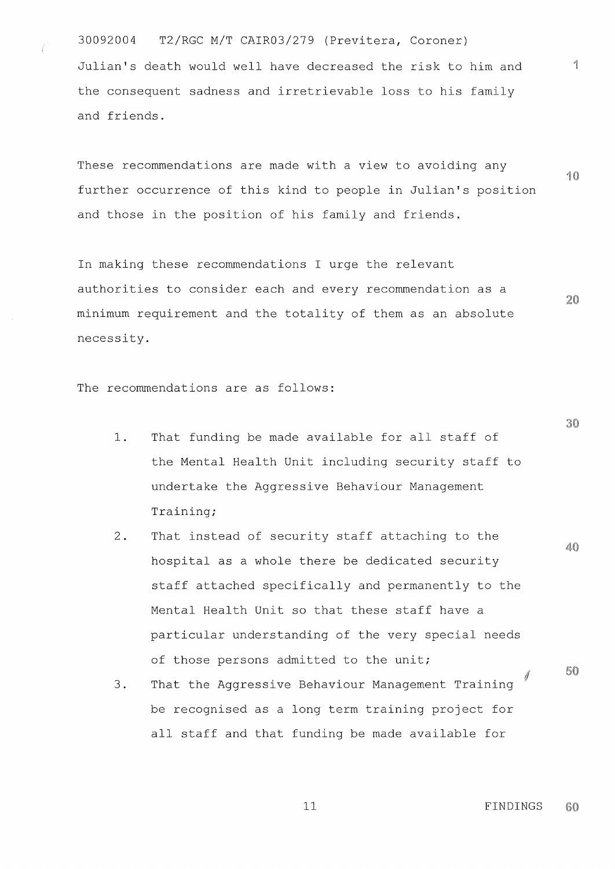30092004 T2/RGC M/T CAIR03/279 (Previtera, Coroner) Julian's death would well have decreased the risk to him and the consequent sadness and irretrievable loss to his family and friends.

These recommendations are made with a view to avoiding any 10 further occurrence of this kind to people in Julian's position and those in the position of his family and friends.

In making these recommendations I urge the relevant authorities to consider each and every recommendation as a minimum requirement and the totality of them as an absolute necessity.

**The recommendations are as** follows:

- 1. That funding be made available for all staff of the Mental Health Unit including security staff to undertake the Aggressive Behaviour Management Training;
- 2. That instead of security staff attaching to the hospital as a whole there be dedicated security staff attached specifically and permanently to the Mental Health Unit so that these staff have a particular understanding of the very special needs of those persons admitted to the unit;
- 3. That the Aggressive Behaviour Management Training be recognised as a long term training project for all staff and that funding be made available for

30

40

 $20$ 

60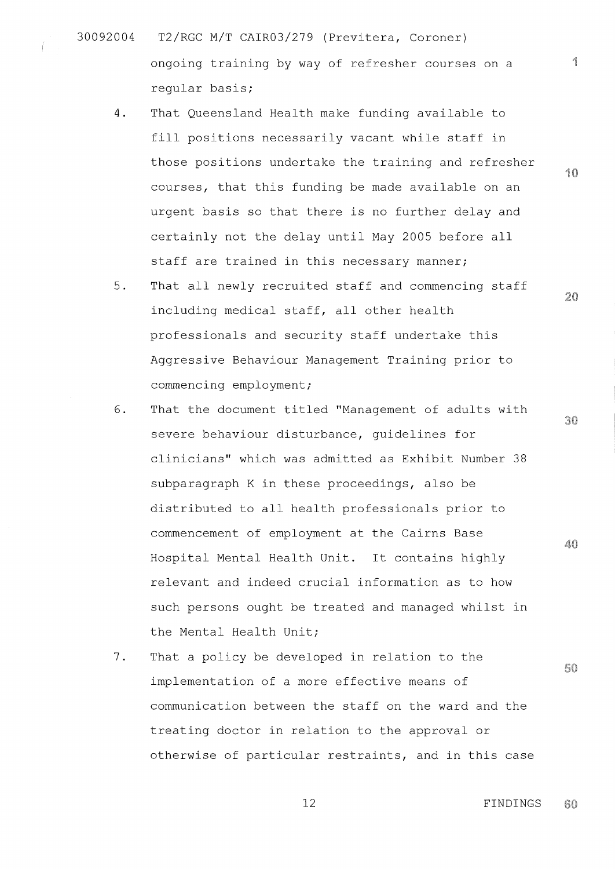- 30092004 T2/RGC M/T CAIR03/279 (Previtera, Coroner) ongoing training by way of refresher courses on a regular basis;
	- 4. That Queensland Health make funding available to fill positions necessarily vacant while staff in those positions undertake the training and refresher courses, that this funding be made available on an urgent basis so that there is no further delay and certainly not the delay until May 2005 before all staff are trained in this necessary manner;
	- 5. That all newly recruited staff and commencing staff including medical staff, all other health professionals and security staff undertake this Aggressive Behaviour Management Training prior to commencing employment;
	- 6. That the document titled "Management of adults with severe behaviour disturbance, guidelines for clinicians" which was admitted as Exhibit Number 38 subparagraph K in these proceedings, also be distributed to all health professionals prior to commencement of employment at the Cairns Base Hospital Mental Health Unit. It contains highly relevant and indeed crucial information as to how such persons ought be treated and managed whilst in the Mental Health Unit;
	- 7. That a policy be developed in relation to the implementation of a more effective means of communication between the staff on the ward and the treating doctor in relation to the approval or otherwise of particular restraints, and in this case

<sup>1</sup> **0**

and in 1980.<br>Ngjarje

20

30

40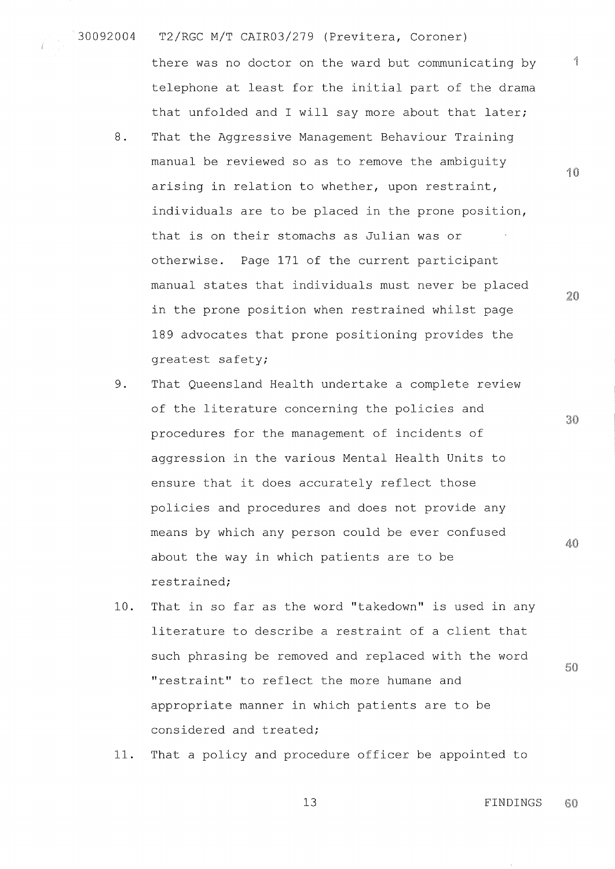30092004 T2/RGC M/T CAIR03/279 (Previtera, Coroner)

there was no doctor on the ward but communicating by telephone at least for the initial part of the drama that unfolded and I will say more about that later;

- 8. That the Aggressive Management Behaviour Training manual be reviewed so as to remove the ambiguity arising in relation to whether, upon restraint, individuals are to be placed in the prone position, that is on their stomachs as Julian was or otherwise. Page 171 of the current participant manual states that individuals must never be placed in the prone position when restrained whilst page 189 advocates that prone positioning provides the greatest safety;
- 9. That Queensland Health undertake a complete review of the literature concerning the policies and procedures for the management of incidents of aggression in the various Mental Health Units to ensure that it does accurately reflect those policies and procedures and does not provide any means by which any person could be ever confused about the way in which patients are to be restrained;
- 10. That in so far as the word "takedown" is used in any literature to describe a restraint of a client that such phrasing be removed and replaced with the word "restraint" to reflect the more humane and appropriate manner in which patients are to be considered and treated;
- 11. That a policy and procedure officer be appointed to

13 FINDINGS60

5

∕

10

 $20$ 

30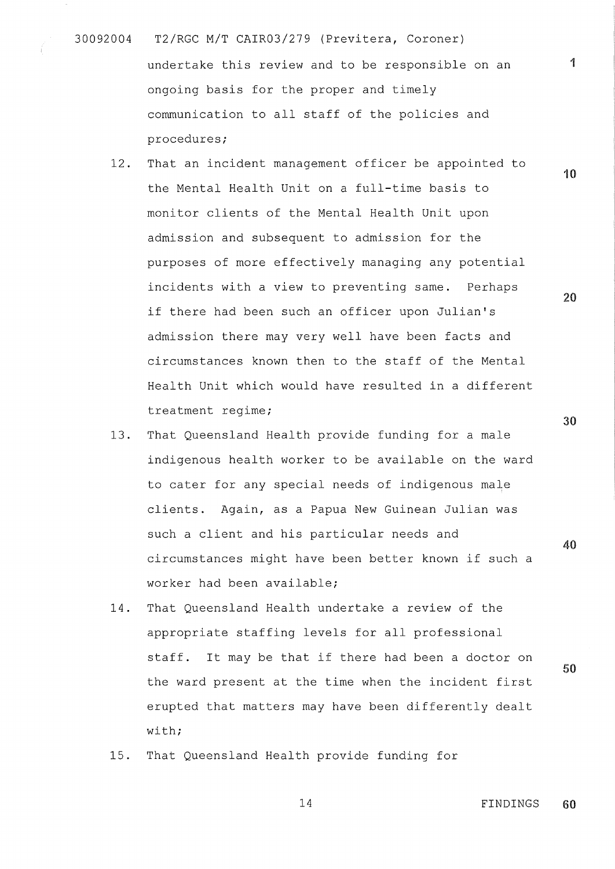- 30092004 T2/RGC M/T CAIR03/279 (Previtera, Coroner) undertake this review and to be responsible on an ongoing basis for the proper and timely communication to all staff of the policies and procedures;
	- 12. That an incident management officer be appointed to the Mental Health Unit on a full-time basis to monitor clients of the Mental Health Unit upon admission and subsequent to admission for the purposes of more effectively managing any potential incidents with a view to preventing **same** . Perhaps if there had been such an officer upon Julian's admission there may very well have been facts and circumstances known then to the staff of the Mental Health Unit which would have resulted in a different treatment regime;
	- 13. That Queensland Health provide funding for a male indigenous health worker to be available on the ward to cater for any special needs of indigenous male clients. Again, as a Papua New Guinean Julian was such a client and his particular needs and circumstances might have been better known if such a worker had been available;
	- 14. That Queensland Health undertake a review of the appropriate staffing levels for all professional staff. It may be that if there had been a doctor on the ward present at the time when the incident first erupted that matters may have been differently dealt with;
	- 15. That Queensland Health provide funding for

14 FINDINGS 60

**0**

**40**

**50**

**10**

**1**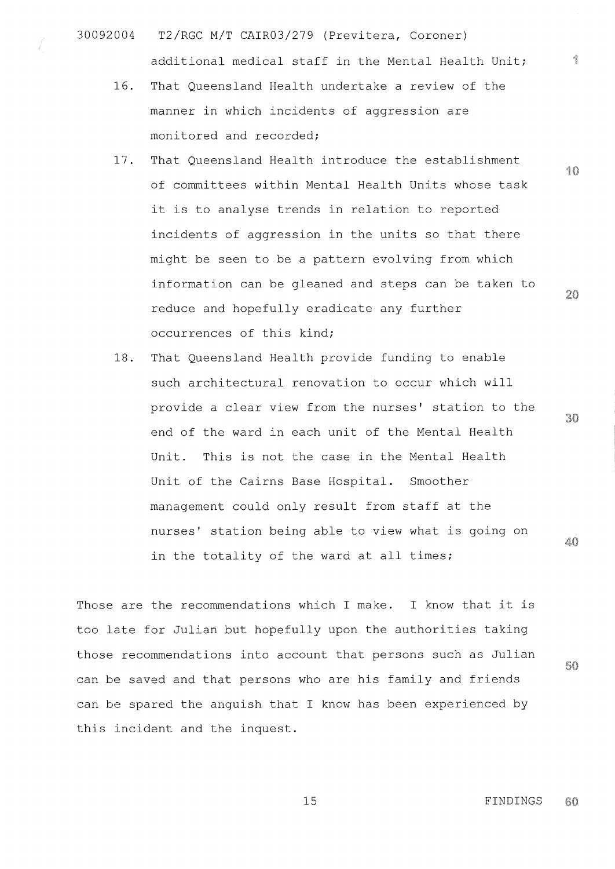- 30092004 T2/RGC M/T CAIR03/279 (Previtera, Coroner) additional medical staff in the Mental Health Unit;
	- 16. That Queensland Health undertake a review of the manner in which incidents of aggression are monitored and recorded;
	- 17. That Queensland Health introduce the establishment of committees within Mental Health Units whose task it is to analyse trends in relation to reported incidents of aggression in the units so that there might be seen to be a pattern evolving from which information can be gleaned and steps can be taken to reduce and hopefully eradicate any further occurrences of this kind;
	- 18. That Queensland Health provide funding to enable such architectural renovation to occur which will provide a clear view from the nurses' station to the end of the ward in each unit of the Mental Health Unit. This is not the case in the Mental Health Unit of the Cairns Base Hospital. Smoother management could only result from staff at the nurses' station being able to view what is going on 40 in the totality of the ward at all times;

Those are the recommendations which I make. I know that it is too late for Julian but hopefully upon the authorities taking those recommendations into account that persons such as Julian can be saved and that persons who are his family and friends can be spared the anguish that I know has been experienced by this incident and the inquest.

10

ń

 $20$ 

50

60